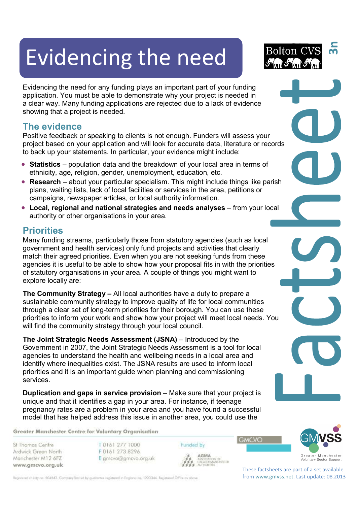# Evidencing the need



Evidencing the need for any funding plays an important part of your funding application. You must be able to demonstrate why your project is needed in a clear way. Many funding applications are rejected due to a lack of evidence showing that a project is needed.

## **The evidence**

Positive feedback or speaking to clients is not enough. Funders will assess your project based on your application and will look for accurate data, literature or records to back up your statements. In particular, your evidence might include:

- **Statistics** population data and the breakdown of your local area in terms of ethnicity, age, religion, gender, unemployment, education, etc.
- **Research**  about your particular specialism. This might include things like parish plans, waiting lists, lack of local facilities or services in the area, petitions or campaigns, newspaper articles, or local authority information.
- **Local, regional and national strategies and needs analyses** from your local authority or other organisations in your area.

## **Priorities**

Many funding streams, particularly those from statutory agencies (such as local government and health services) only fund projects and activities that clearly match their agreed priorities. Even when you are not seeking funds from these agencies it is useful to be able to show how your proposal fits in with the priorities of statutory organisations in your area. A couple of things you might want to explore locally are:

**The Community Strategy –** All local authorities have a duty to prepare a sustainable community strategy to improve quality of life for local communities through a clear set of long-term priorities for their borough. You can use these priorities to inform your work and show how your project will meet local needs. You will find the community strategy through your local council.

**The Joint Strategic Needs Assessment (JSNA)** – Introduced by the Government in 2007, the Joint Strategic Needs Assessment is a tool for local agencies to understand the health and wellbeing needs in a local area and identify where inequalities exist. The JSNA results are used to inform local priorities and it is an important guide when planning and commissioning services.

**Duplication and gaps in service provision** – Make sure that your project is unique and that it identifies a gap in your area. For instance, if teenage pregnancy rates are a problem in your area and you have found a successful model that has helped address this issue in another area, you could use the

Greater Manchester Centre for Voluntary Organisation

St Thomas Centre Ardwick Green North Manchester M12 6FZ www.gmcvo.org.uk T0161 277 1000 F0161 273 8296 E gmcvo@gmcvo.org.uk Funded by AGMA **AGMA**<br>ASSOCIATION OF<br>GREATER MANCHESTER<br>AUTHORITIES **GMCVO** 



These factsheets are part of a set available from www.gmvss.net. Last update: 08.2013

Registered charity no. 504542. Company limited by guarantee registered in England no. 1223344. Registered Office as obove